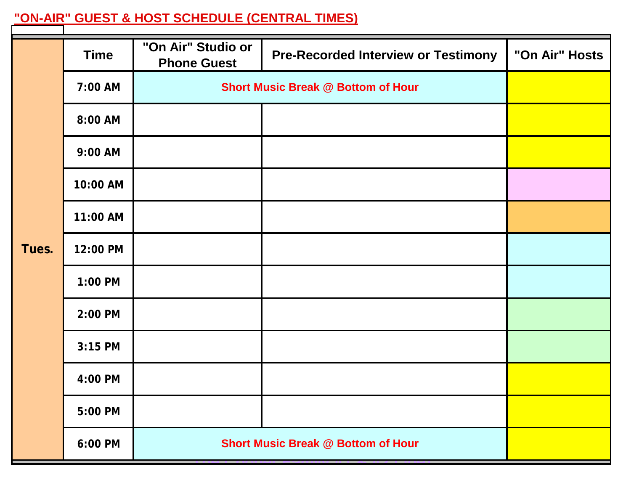## **"ON-AIR" GUEST & HOST SCHEDULE (CENTRAL TIMES)**

|       | <b>Time</b> | "On Air" Studio or<br><b>Phone Guest</b>  | <b>Pre-Recorded Interview or Testimony</b> | "On Air" Hosts |
|-------|-------------|-------------------------------------------|--------------------------------------------|----------------|
| Tues. | 7:00 AM     | <b>Short Music Break @ Bottom of Hour</b> |                                            |                |
|       | 8:00 AM     |                                           |                                            |                |
|       | 9:00 AM     |                                           |                                            |                |
|       | 10:00 AM    |                                           |                                            |                |
|       | 11:00 AM    |                                           |                                            |                |
|       | 12:00 PM    |                                           |                                            |                |
|       | 1:00 PM     |                                           |                                            |                |
|       | 2:00 PM     |                                           |                                            |                |
|       | 3:15 PM     |                                           |                                            |                |
|       | 4:00 PM     |                                           |                                            |                |
|       | 5:00 PM     |                                           |                                            |                |
|       | 6:00 PM     |                                           | <b>Short Music Break @ Bottom of Hour</b>  |                |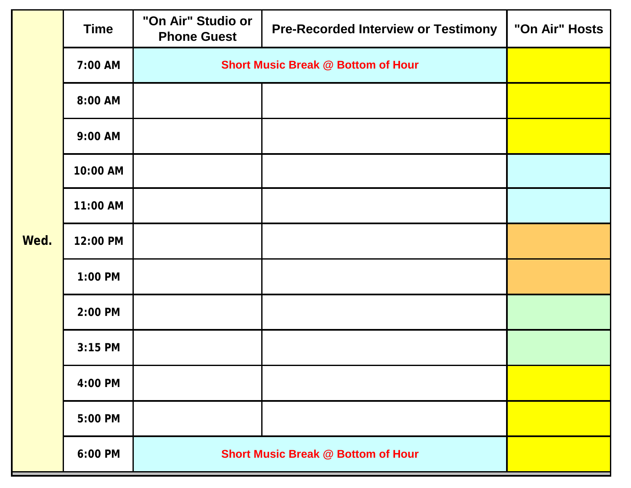|      | <b>Time</b> | "On Air" Studio or<br><b>Phone Guest</b>  | <b>Pre-Recorded Interview or Testimony</b> | "On Air" Hosts |
|------|-------------|-------------------------------------------|--------------------------------------------|----------------|
| Wed. | 7:00 AM     | <b>Short Music Break @ Bottom of Hour</b> |                                            |                |
|      | 8:00 AM     |                                           |                                            |                |
|      | 9:00 AM     |                                           |                                            |                |
|      | 10:00 AM    |                                           |                                            |                |
|      | 11:00 AM    |                                           |                                            |                |
|      | 12:00 PM    |                                           |                                            |                |
|      | 1:00 PM     |                                           |                                            |                |
|      | 2:00 PM     |                                           |                                            |                |
|      | $3:15$ PM   |                                           |                                            |                |
|      | 4:00 PM     |                                           |                                            |                |
|      | 5:00 PM     |                                           |                                            |                |
|      | 6:00 PM     |                                           | <b>Short Music Break @ Bottom of Hour</b>  |                |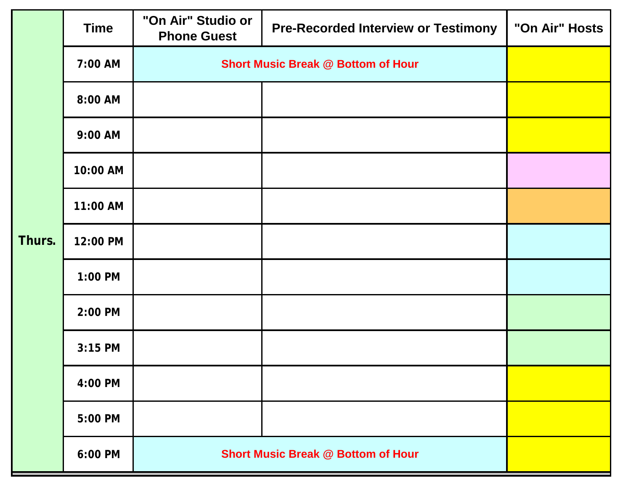|        | <b>Time</b> | "On Air" Studio or<br><b>Phone Guest</b>  | <b>Pre-Recorded Interview or Testimony</b> | "On Air" Hosts |
|--------|-------------|-------------------------------------------|--------------------------------------------|----------------|
|        | 7:00 AM     | <b>Short Music Break @ Bottom of Hour</b> |                                            |                |
| Thurs. | 8:00 AM     |                                           |                                            |                |
|        | 9:00 AM     |                                           |                                            |                |
|        | 10:00 AM    |                                           |                                            |                |
|        | 11:00 AM    |                                           |                                            |                |
|        | 12:00 PM    |                                           |                                            |                |
|        | 1:00 PM     |                                           |                                            |                |
|        | 2:00 PM     |                                           |                                            |                |
|        | $3:15$ PM   |                                           |                                            |                |
|        | 4:00 PM     |                                           |                                            |                |
|        | 5:00 PM     |                                           |                                            |                |
|        | 6:00 PM     |                                           | <b>Short Music Break @ Bottom of Hour</b>  |                |